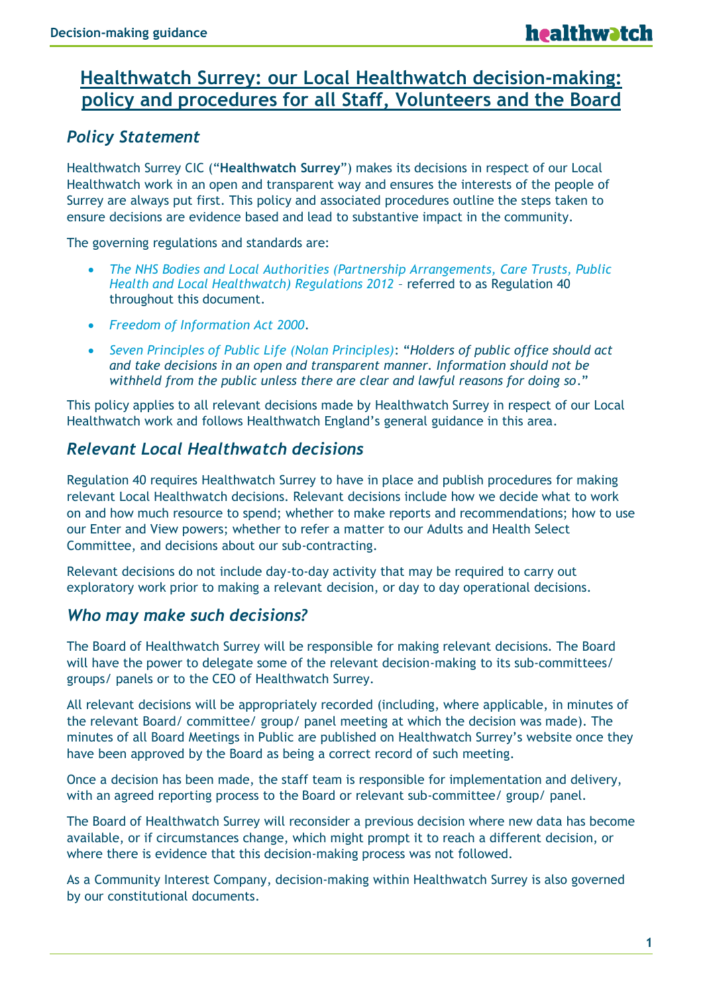# **Healthwatch Surrey: our Local Healthwatch decision-making: policy and procedures for all Staff, Volunteers and the Board**

### *Policy Statement*

Healthwatch Surrey CIC ("**Healthwatch Surrey**") makes its decisions in respect of our Local Healthwatch work in an open and transparent way and ensures the interests of the people of Surrey are always put first. This policy and associated procedures outline the steps taken to ensure decisions are evidence based and lead to substantive impact in the community.

The governing regulations and standards are:

- *The NHS Bodies and Local Authorities (Partnership Arrangements, Care Trusts, Public Health and Local Healthwatch) Regulations 2012* – referred to as Regulation 40 throughout this document.
- *Freedom of Information Act 2000*.
- *Seven Principles of Public Life (Nolan Principles)*: "*Holders of public office should act and take decisions in an open and transparent manner. Information should not be withheld from the public unless there are clear and lawful reasons for doing so*."

This policy applies to all relevant decisions made by Healthwatch Surrey in respect of our Local Healthwatch work and follows Healthwatch England's general guidance in this area.

#### *Relevant Local Healthwatch decisions*

Regulation 40 requires Healthwatch Surrey to have in place and publish procedures for making relevant Local Healthwatch decisions. Relevant decisions include how we decide what to work on and how much resource to spend; whether to make reports and recommendations; how to use our Enter and View powers; whether to refer a matter to our Adults and Health Select Committee, and decisions about our sub-contracting.

Relevant decisions do not include day-to-day activity that may be required to carry out exploratory work prior to making a relevant decision, or day to day operational decisions.

#### *Who may make such decisions?*

The Board of Healthwatch Surrey will be responsible for making relevant decisions. The Board will have the power to delegate some of the relevant decision-making to its sub-committees/ groups/ panels or to the CEO of Healthwatch Surrey.

All relevant decisions will be appropriately recorded (including, where applicable, in minutes of the relevant Board/ committee/ group/ panel meeting at which the decision was made). The minutes of all Board Meetings in Public are published on Healthwatch Surrey's website once they have been approved by the Board as being a correct record of such meeting.

Once a decision has been made, the staff team is responsible for implementation and delivery, with an agreed reporting process to the Board or relevant sub-committee/ group/ panel.

The Board of Healthwatch Surrey will reconsider a previous decision where new data has become available, or if circumstances change, which might prompt it to reach a different decision, or where there is evidence that this decision-making process was not followed.

As a Community Interest Company, decision-making within Healthwatch Surrey is also governed by our constitutional documents.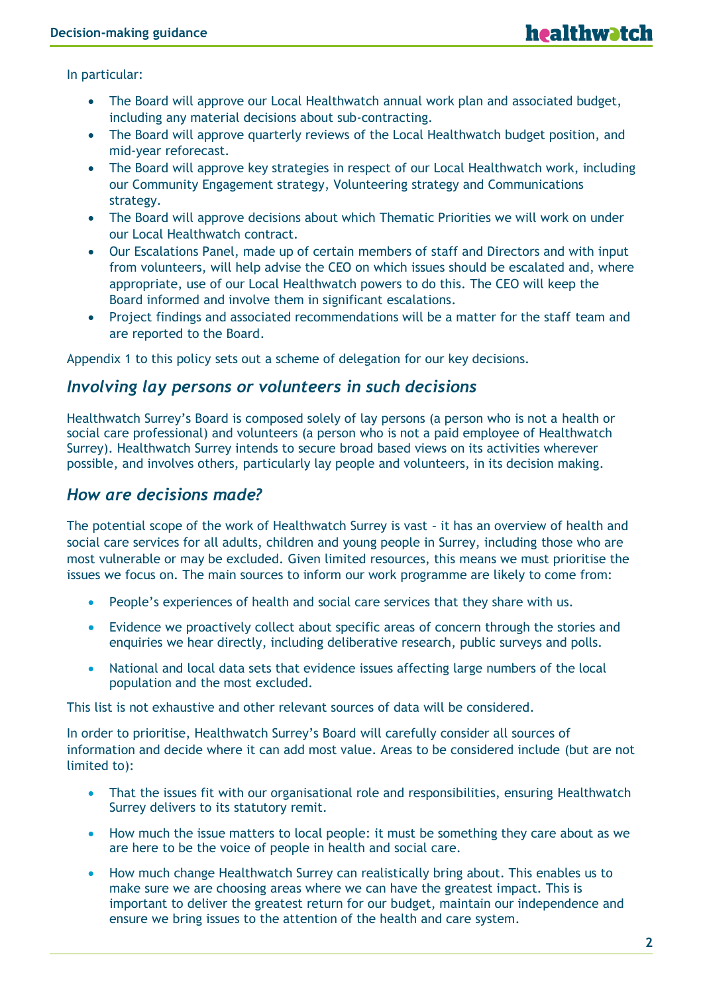In particular:

- The Board will approve our Local Healthwatch annual work plan and associated budget, including any material decisions about sub-contracting.
- The Board will approve quarterly reviews of the Local Healthwatch budget position, and mid-year reforecast.
- The Board will approve key strategies in respect of our Local Healthwatch work, including our Community Engagement strategy, Volunteering strategy and Communications strategy.
- The Board will approve decisions about which Thematic Priorities we will work on under our Local Healthwatch contract.
- Our Escalations Panel, made up of certain members of staff and Directors and with input from volunteers, will help advise the CEO on which issues should be escalated and, where appropriate, use of our Local Healthwatch powers to do this. The CEO will keep the Board informed and involve them in significant escalations.
- Project findings and associated recommendations will be a matter for the staff team and are reported to the Board.

Appendix 1 to this policy sets out a scheme of delegation for our key decisions.

#### *Involving lay persons or volunteers in such decisions*

Healthwatch Surrey's Board is composed solely of lay persons (a person who is not a health or social care professional) and volunteers (a person who is not a paid employee of Healthwatch Surrey). Healthwatch Surrey intends to secure broad based views on its activities wherever possible, and involves others, particularly lay people and volunteers, in its decision making.

#### *How are decisions made?*

The potential scope of the work of Healthwatch Surrey is vast – it has an overview of health and social care services for all adults, children and young people in Surrey, including those who are most vulnerable or may be excluded. Given limited resources, this means we must prioritise the issues we focus on. The main sources to inform our work programme are likely to come from:

- People's experiences of health and social care services that they share with us.
- Evidence we proactively collect about specific areas of concern through the stories and enquiries we hear directly, including deliberative research, public surveys and polls.
- National and local data sets that evidence issues affecting large numbers of the local population and the most excluded.

This list is not exhaustive and other relevant sources of data will be considered.

In order to prioritise, Healthwatch Surrey's Board will carefully consider all sources of information and decide where it can add most value. Areas to be considered include (but are not limited to):

- That the issues fit with our organisational role and responsibilities, ensuring Healthwatch Surrey delivers to its statutory remit.
- How much the issue matters to local people: it must be something they care about as we are here to be the voice of people in health and social care.
- How much change Healthwatch Surrey can realistically bring about. This enables us to make sure we are choosing areas where we can have the greatest impact. This is important to deliver the greatest return for our budget, maintain our independence and ensure we bring issues to the attention of the health and care system.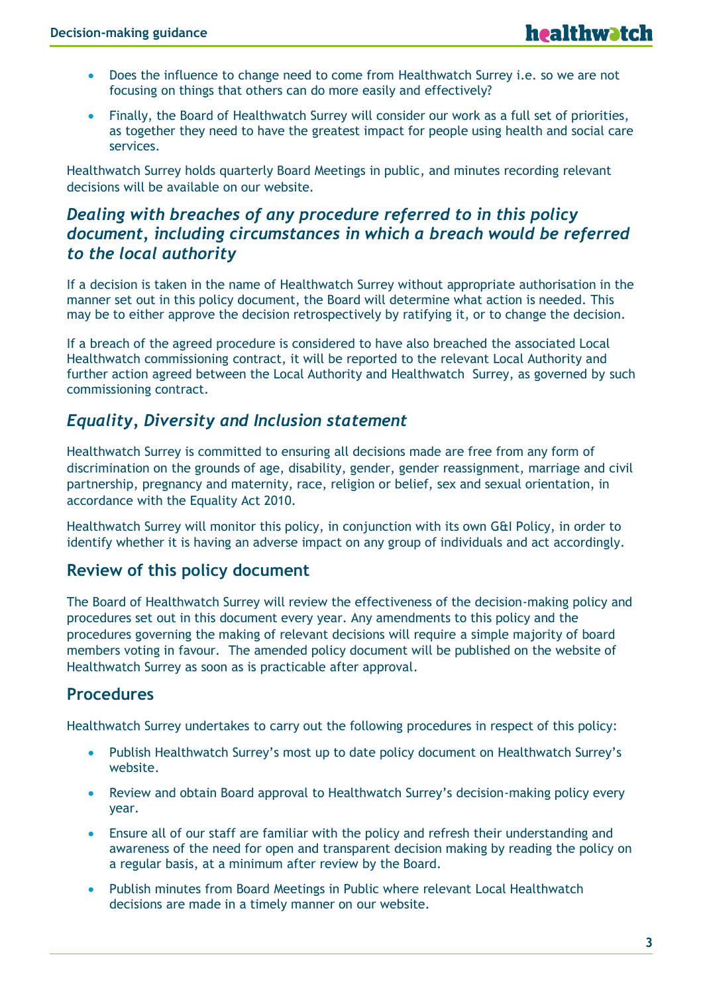- Does the influence to change need to come from Healthwatch Surrey i.e. so we are not focusing on things that others can do more easily and effectively?
- Finally, the Board of Healthwatch Surrey will consider our work as a full set of priorities, as together they need to have the greatest impact for people using health and social care services.

Healthwatch Surrey holds quarterly Board Meetings in public, and minutes recording relevant decisions will be available on our website.

### *Dealing with breaches of any procedure referred to in this policy document, including circumstances in which a breach would be referred to the local authority*

If a decision is taken in the name of Healthwatch Surrey without appropriate authorisation in the manner set out in this policy document, the Board will determine what action is needed. This may be to either approve the decision retrospectively by ratifying it, or to change the decision.

If a breach of the agreed procedure is considered to have also breached the associated Local Healthwatch commissioning contract, it will be reported to the relevant Local Authority and further action agreed between the Local Authority and Healthwatch Surrey, as governed by such commissioning contract.

## *Equality, Diversity and Inclusion statement*

Healthwatch Surrey is committed to ensuring all decisions made are free from any form of discrimination on the grounds of age, disability, gender, gender reassignment, marriage and civil partnership, pregnancy and maternity, race, religion or belief, sex and sexual orientation, in accordance with the Equality Act 2010.

Healthwatch Surrey will monitor this policy, in conjunction with its own G&I Policy, in order to identify whether it is having an adverse impact on any group of individuals and act accordingly.

#### **Review of this policy document**

The Board of Healthwatch Surrey will review the effectiveness of the decision-making policy and procedures set out in this document every year. Any amendments to this policy and the procedures governing the making of relevant decisions will require a simple majority of board members voting in favour. The amended policy document will be published on the website of Healthwatch Surrey as soon as is practicable after approval.

#### **Procedures**

Healthwatch Surrey undertakes to carry out the following procedures in respect of this policy:

- Publish Healthwatch Surrey's most up to date policy document on Healthwatch Surrey's website.
- Review and obtain Board approval to Healthwatch Surrey's decision-making policy every year.
- Ensure all of our staff are familiar with the policy and refresh their understanding and awareness of the need for open and transparent decision making by reading the policy on a regular basis, at a minimum after review by the Board.
- Publish minutes from Board Meetings in Public where relevant Local Healthwatch decisions are made in a timely manner on our website.